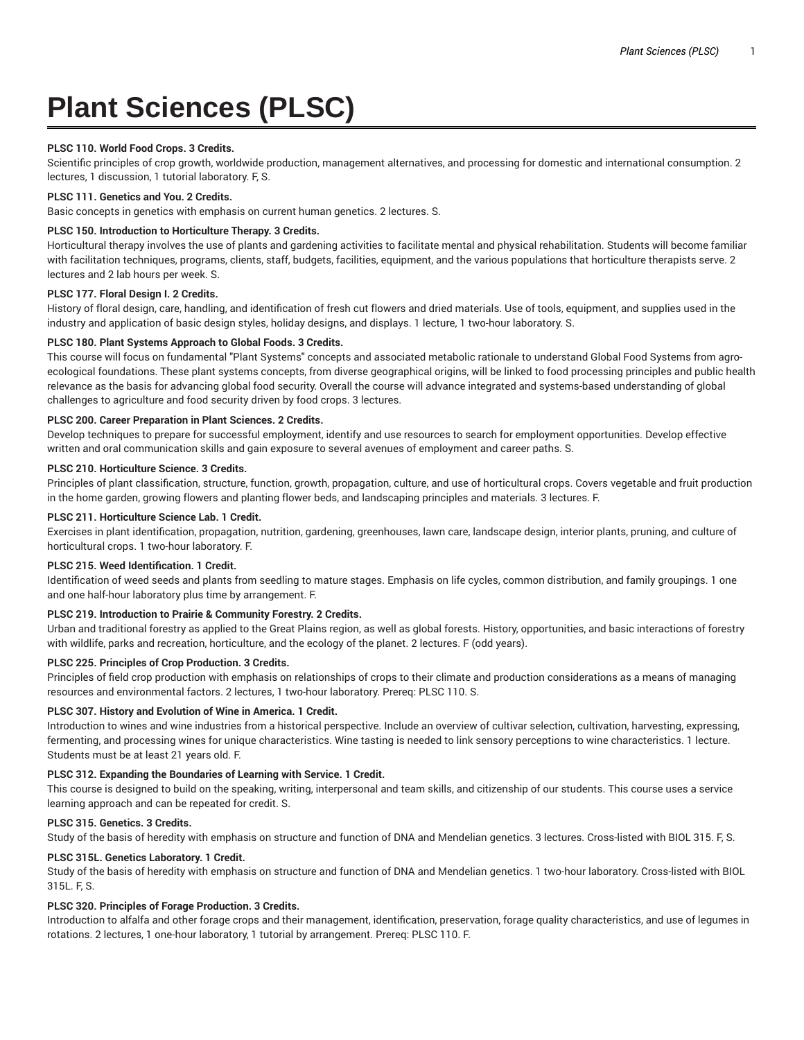# **Plant Sciences (PLSC)**

# **PLSC 110. World Food Crops. 3 Credits.**

Scientific principles of crop growth, worldwide production, management alternatives, and processing for domestic and international consumption. 2 lectures, 1 discussion, 1 tutorial laboratory. F, S.

# **PLSC 111. Genetics and You. 2 Credits.**

Basic concepts in genetics with emphasis on current human genetics. 2 lectures. S.

## **PLSC 150. Introduction to Horticulture Therapy. 3 Credits.**

Horticultural therapy involves the use of plants and gardening activities to facilitate mental and physical rehabilitation. Students will become familiar with facilitation techniques, programs, clients, staff, budgets, facilities, equipment, and the various populations that horticulture therapists serve. 2 lectures and 2 lab hours per week. S.

#### **PLSC 177. Floral Design I. 2 Credits.**

History of floral design, care, handling, and identification of fresh cut flowers and dried materials. Use of tools, equipment, and supplies used in the industry and application of basic design styles, holiday designs, and displays. 1 lecture, 1 two-hour laboratory. S.

#### **PLSC 180. Plant Systems Approach to Global Foods. 3 Credits.**

This course will focus on fundamental "Plant Systems" concepts and associated metabolic rationale to understand Global Food Systems from agroecological foundations. These plant systems concepts, from diverse geographical origins, will be linked to food processing principles and public health relevance as the basis for advancing global food security. Overall the course will advance integrated and systems-based understanding of global challenges to agriculture and food security driven by food crops. 3 lectures.

#### **PLSC 200. Career Preparation in Plant Sciences. 2 Credits.**

Develop techniques to prepare for successful employment, identify and use resources to search for employment opportunities. Develop effective written and oral communication skills and gain exposure to several avenues of employment and career paths. S.

# **PLSC 210. Horticulture Science. 3 Credits.**

Principles of plant classification, structure, function, growth, propagation, culture, and use of horticultural crops. Covers vegetable and fruit production in the home garden, growing flowers and planting flower beds, and landscaping principles and materials. 3 lectures. F.

## **PLSC 211. Horticulture Science Lab. 1 Credit.**

Exercises in plant identification, propagation, nutrition, gardening, greenhouses, lawn care, landscape design, interior plants, pruning, and culture of horticultural crops. 1 two-hour laboratory. F.

#### **PLSC 215. Weed Identification. 1 Credit.**

Identification of weed seeds and plants from seedling to mature stages. Emphasis on life cycles, common distribution, and family groupings. 1 one and one half-hour laboratory plus time by arrangement. F.

# **PLSC 219. Introduction to Prairie & Community Forestry. 2 Credits.**

Urban and traditional forestry as applied to the Great Plains region, as well as global forests. History, opportunities, and basic interactions of forestry with wildlife, parks and recreation, horticulture, and the ecology of the planet. 2 lectures. F (odd years).

# **PLSC 225. Principles of Crop Production. 3 Credits.**

Principles of field crop production with emphasis on relationships of crops to their climate and production considerations as a means of managing resources and environmental factors. 2 lectures, 1 two-hour laboratory. Prereq: PLSC 110. S.

#### **PLSC 307. History and Evolution of Wine in America. 1 Credit.**

Introduction to wines and wine industries from a historical perspective. Include an overview of cultivar selection, cultivation, harvesting, expressing, fermenting, and processing wines for unique characteristics. Wine tasting is needed to link sensory perceptions to wine characteristics. 1 lecture. Students must be at least 21 years old. F.

#### **PLSC 312. Expanding the Boundaries of Learning with Service. 1 Credit.**

This course is designed to build on the speaking, writing, interpersonal and team skills, and citizenship of our students. This course uses a service learning approach and can be repeated for credit. S.

# **PLSC 315. Genetics. 3 Credits.**

Study of the basis of heredity with emphasis on structure and function of DNA and Mendelian genetics. 3 lectures. Cross-listed with BIOL 315. F, S.

# **PLSC 315L. Genetics Laboratory. 1 Credit.**

Study of the basis of heredity with emphasis on structure and function of DNA and Mendelian genetics. 1 two-hour laboratory. Cross-listed with BIOL 315L. F, S.

# **PLSC 320. Principles of Forage Production. 3 Credits.**

Introduction to alfalfa and other forage crops and their management, identification, preservation, forage quality characteristics, and use of legumes in rotations. 2 lectures, 1 one-hour laboratory, 1 tutorial by arrangement. Prereq: PLSC 110. F.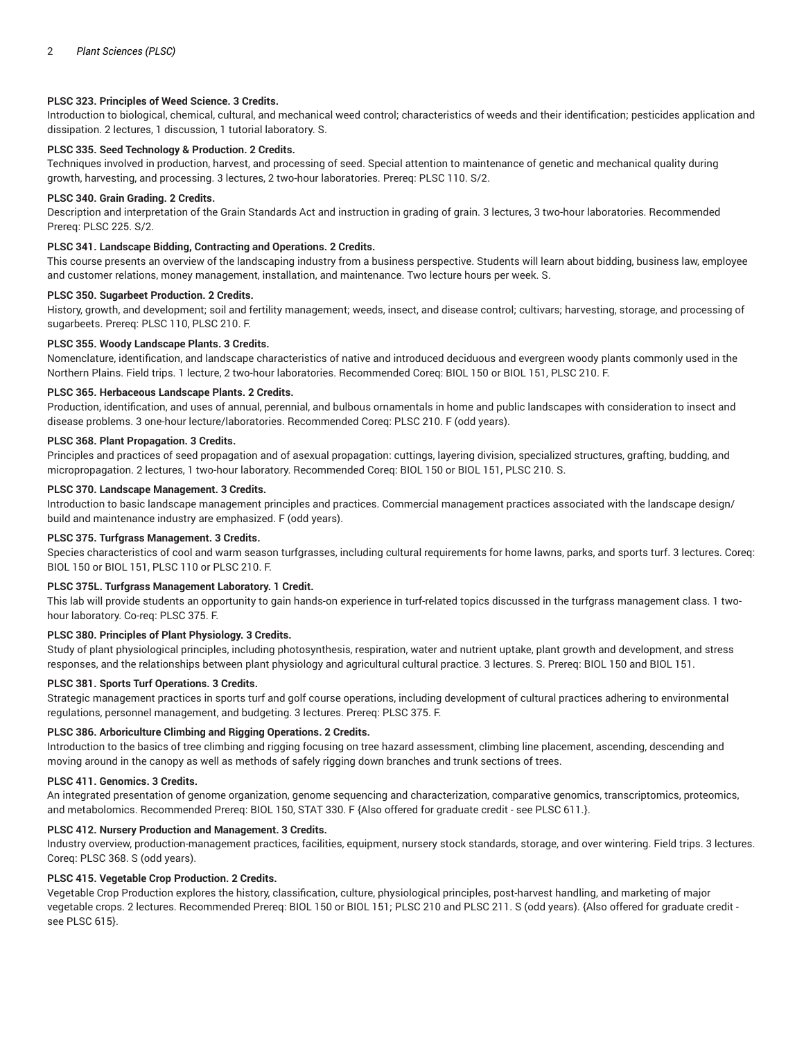# **PLSC 323. Principles of Weed Science. 3 Credits.**

Introduction to biological, chemical, cultural, and mechanical weed control; characteristics of weeds and their identification; pesticides application and dissipation. 2 lectures, 1 discussion, 1 tutorial laboratory. S.

# **PLSC 335. Seed Technology & Production. 2 Credits.**

Techniques involved in production, harvest, and processing of seed. Special attention to maintenance of genetic and mechanical quality during growth, harvesting, and processing. 3 lectures, 2 two-hour laboratories. Prereq: PLSC 110. S/2.

# **PLSC 340. Grain Grading. 2 Credits.**

Description and interpretation of the Grain Standards Act and instruction in grading of grain. 3 lectures, 3 two-hour laboratories. Recommended Prereq: PLSC 225. S/2.

## **PLSC 341. Landscape Bidding, Contracting and Operations. 2 Credits.**

This course presents an overview of the landscaping industry from a business perspective. Students will learn about bidding, business law, employee and customer relations, money management, installation, and maintenance. Two lecture hours per week. S.

# **PLSC 350. Sugarbeet Production. 2 Credits.**

History, growth, and development; soil and fertility management; weeds, insect, and disease control; cultivars; harvesting, storage, and processing of sugarbeets. Prereq: PLSC 110, PLSC 210. F.

## **PLSC 355. Woody Landscape Plants. 3 Credits.**

Nomenclature, identification, and landscape characteristics of native and introduced deciduous and evergreen woody plants commonly used in the Northern Plains. Field trips. 1 lecture, 2 two-hour laboratories. Recommended Coreq: BIOL 150 or BIOL 151, PLSC 210. F.

#### **PLSC 365. Herbaceous Landscape Plants. 2 Credits.**

Production, identification, and uses of annual, perennial, and bulbous ornamentals in home and public landscapes with consideration to insect and disease problems. 3 one-hour lecture/laboratories. Recommended Coreq: PLSC 210. F (odd years).

#### **PLSC 368. Plant Propagation. 3 Credits.**

Principles and practices of seed propagation and of asexual propagation: cuttings, layering division, specialized structures, grafting, budding, and micropropagation. 2 lectures, 1 two-hour laboratory. Recommended Coreq: BIOL 150 or BIOL 151, PLSC 210. S.

# **PLSC 370. Landscape Management. 3 Credits.**

Introduction to basic landscape management principles and practices. Commercial management practices associated with the landscape design/ build and maintenance industry are emphasized. F (odd years).

## **PLSC 375. Turfgrass Management. 3 Credits.**

Species characteristics of cool and warm season turfgrasses, including cultural requirements for home lawns, parks, and sports turf. 3 lectures. Coreq: BIOL 150 or BIOL 151, PLSC 110 or PLSC 210. F.

# **PLSC 375L. Turfgrass Management Laboratory. 1 Credit.**

This lab will provide students an opportunity to gain hands-on experience in turf-related topics discussed in the turfgrass management class. 1 twohour laboratory. Co-req: PLSC 375. F.

# **PLSC 380. Principles of Plant Physiology. 3 Credits.**

Study of plant physiological principles, including photosynthesis, respiration, water and nutrient uptake, plant growth and development, and stress responses, and the relationships between plant physiology and agricultural cultural practice. 3 lectures. S. Prereq: BIOL 150 and BIOL 151.

# **PLSC 381. Sports Turf Operations. 3 Credits.**

Strategic management practices in sports turf and golf course operations, including development of cultural practices adhering to environmental regulations, personnel management, and budgeting. 3 lectures. Prereq: PLSC 375. F.

# **PLSC 386. Arboriculture Climbing and Rigging Operations. 2 Credits.**

Introduction to the basics of tree climbing and rigging focusing on tree hazard assessment, climbing line placement, ascending, descending and moving around in the canopy as well as methods of safely rigging down branches and trunk sections of trees.

# **PLSC 411. Genomics. 3 Credits.**

An integrated presentation of genome organization, genome sequencing and characterization, comparative genomics, transcriptomics, proteomics, and metabolomics. Recommended Prereq: BIOL 150, STAT 330. F {Also offered for graduate credit - see PLSC 611.}.

# **PLSC 412. Nursery Production and Management. 3 Credits.**

Industry overview, production-management practices, facilities, equipment, nursery stock standards, storage, and over wintering. Field trips. 3 lectures. Coreq: PLSC 368. S (odd years).

# **PLSC 415. Vegetable Crop Production. 2 Credits.**

Vegetable Crop Production explores the history, classification, culture, physiological principles, post-harvest handling, and marketing of major vegetable crops. 2 lectures. Recommended Prereq: BIOL 150 or BIOL 151; PLSC 210 and PLSC 211. S (odd years). {Also offered for graduate credit see PLSC 615}.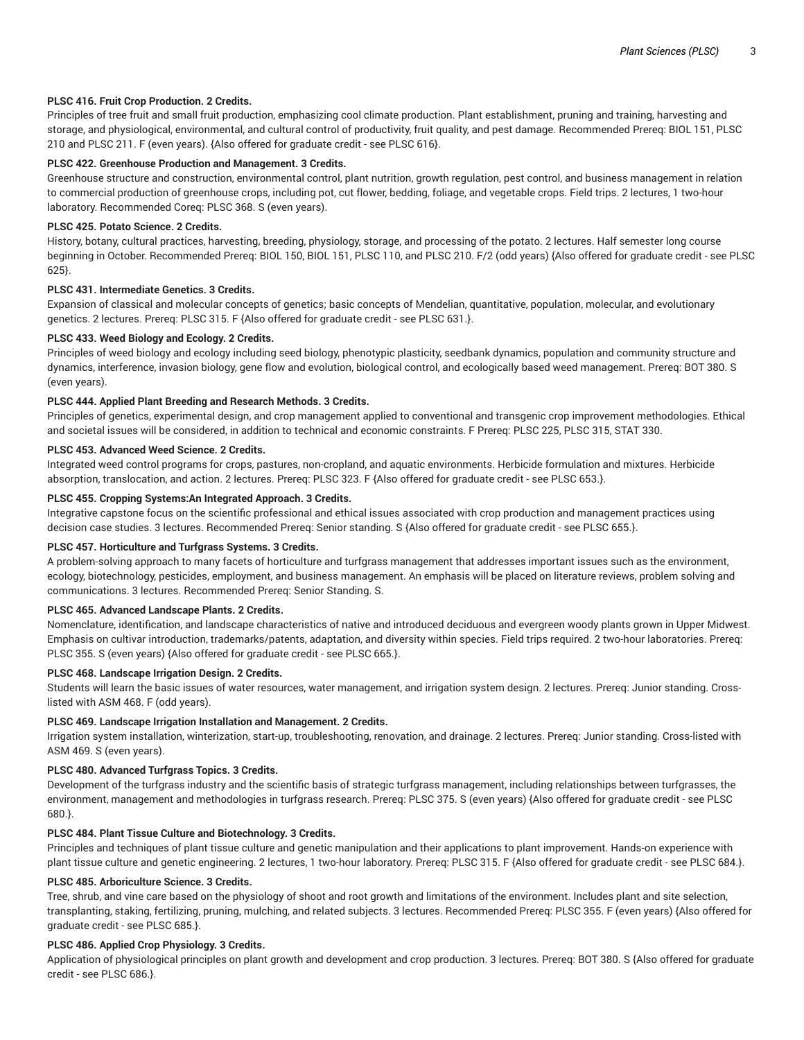# **PLSC 416. Fruit Crop Production. 2 Credits.**

Principles of tree fruit and small fruit production, emphasizing cool climate production. Plant establishment, pruning and training, harvesting and storage, and physiological, environmental, and cultural control of productivity, fruit quality, and pest damage. Recommended Prereq: BIOL 151, PLSC 210 and PLSC 211. F (even years). {Also offered for graduate credit - see PLSC 616}.

# **PLSC 422. Greenhouse Production and Management. 3 Credits.**

Greenhouse structure and construction, environmental control, plant nutrition, growth regulation, pest control, and business management in relation to commercial production of greenhouse crops, including pot, cut flower, bedding, foliage, and vegetable crops. Field trips. 2 lectures, 1 two-hour laboratory. Recommended Coreq: PLSC 368. S (even years).

# **PLSC 425. Potato Science. 2 Credits.**

History, botany, cultural practices, harvesting, breeding, physiology, storage, and processing of the potato. 2 lectures. Half semester long course beginning in October. Recommended Prereq: BIOL 150, BIOL 151, PLSC 110, and PLSC 210. F/2 (odd years) {Also offered for graduate credit - see PLSC 625}.

# **PLSC 431. Intermediate Genetics. 3 Credits.**

Expansion of classical and molecular concepts of genetics; basic concepts of Mendelian, quantitative, population, molecular, and evolutionary genetics. 2 lectures. Prereq: PLSC 315. F {Also offered for graduate credit - see PLSC 631.}.

# **PLSC 433. Weed Biology and Ecology. 2 Credits.**

Principles of weed biology and ecology including seed biology, phenotypic plasticity, seedbank dynamics, population and community structure and dynamics, interference, invasion biology, gene flow and evolution, biological control, and ecologically based weed management. Prereq: BOT 380. S (even years).

# **PLSC 444. Applied Plant Breeding and Research Methods. 3 Credits.**

Principles of genetics, experimental design, and crop management applied to conventional and transgenic crop improvement methodologies. Ethical and societal issues will be considered, in addition to technical and economic constraints. F Prereq: PLSC 225, PLSC 315, STAT 330.

# **PLSC 453. Advanced Weed Science. 2 Credits.**

Integrated weed control programs for crops, pastures, non-cropland, and aquatic environments. Herbicide formulation and mixtures. Herbicide absorption, translocation, and action. 2 lectures. Prereq: PLSC 323. F {Also offered for graduate credit - see PLSC 653.}.

# **PLSC 455. Cropping Systems:An Integrated Approach. 3 Credits.**

Integrative capstone focus on the scientific professional and ethical issues associated with crop production and management practices using decision case studies. 3 lectures. Recommended Prereq: Senior standing. S {Also offered for graduate credit - see PLSC 655.}.

# **PLSC 457. Horticulture and Turfgrass Systems. 3 Credits.**

A problem-solving approach to many facets of horticulture and turfgrass management that addresses important issues such as the environment, ecology, biotechnology, pesticides, employment, and business management. An emphasis will be placed on literature reviews, problem solving and communications. 3 lectures. Recommended Prereq: Senior Standing. S.

# **PLSC 465. Advanced Landscape Plants. 2 Credits.**

Nomenclature, identification, and landscape characteristics of native and introduced deciduous and evergreen woody plants grown in Upper Midwest. Emphasis on cultivar introduction, trademarks/patents, adaptation, and diversity within species. Field trips required. 2 two-hour laboratories. Prereq: PLSC 355. S (even years) {Also offered for graduate credit - see PLSC 665.}.

# **PLSC 468. Landscape Irrigation Design. 2 Credits.**

Students will learn the basic issues of water resources, water management, and irrigation system design. 2 lectures. Prereq: Junior standing. Crosslisted with ASM 468. F (odd years).

# **PLSC 469. Landscape Irrigation Installation and Management. 2 Credits.**

Irrigation system installation, winterization, start-up, troubleshooting, renovation, and drainage. 2 lectures. Prereq: Junior standing. Cross-listed with ASM 469. S (even years).

# **PLSC 480. Advanced Turfgrass Topics. 3 Credits.**

Development of the turfgrass industry and the scientific basis of strategic turfgrass management, including relationships between turfgrasses, the environment, management and methodologies in turfgrass research. Prereq: PLSC 375. S (even years) {Also offered for graduate credit - see PLSC 680.}.

# **PLSC 484. Plant Tissue Culture and Biotechnology. 3 Credits.**

Principles and techniques of plant tissue culture and genetic manipulation and their applications to plant improvement. Hands-on experience with plant tissue culture and genetic engineering. 2 lectures, 1 two-hour laboratory. Prereq: PLSC 315. F {Also offered for graduate credit - see PLSC 684.}.

# **PLSC 485. Arboriculture Science. 3 Credits.**

Tree, shrub, and vine care based on the physiology of shoot and root growth and limitations of the environment. Includes plant and site selection, transplanting, staking, fertilizing, pruning, mulching, and related subjects. 3 lectures. Recommended Prereq: PLSC 355. F (even years) {Also offered for graduate credit - see PLSC 685.}.

# **PLSC 486. Applied Crop Physiology. 3 Credits.**

Application of physiological principles on plant growth and development and crop production. 3 lectures. Prereq: BOT 380. S {Also offered for graduate credit - see PLSC 686.}.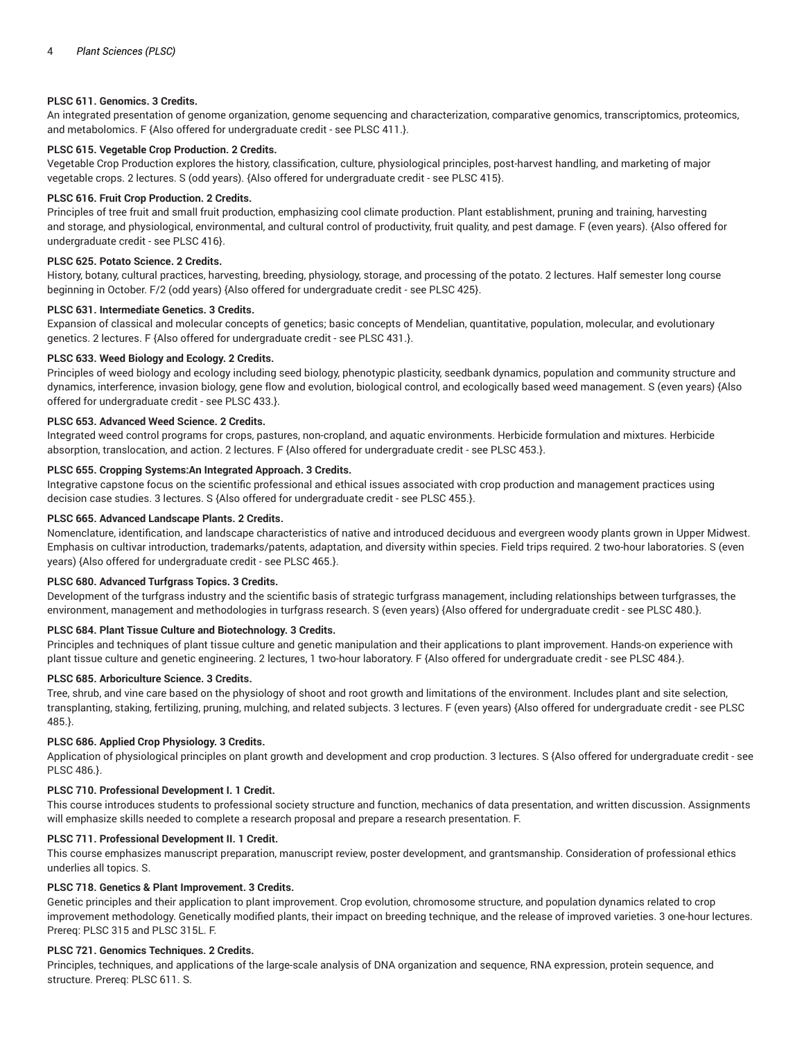## **PLSC 611. Genomics. 3 Credits.**

An integrated presentation of genome organization, genome sequencing and characterization, comparative genomics, transcriptomics, proteomics, and metabolomics. F {Also offered for undergraduate credit - see PLSC 411.}.

# **PLSC 615. Vegetable Crop Production. 2 Credits.**

Vegetable Crop Production explores the history, classification, culture, physiological principles, post-harvest handling, and marketing of major vegetable crops. 2 lectures. S (odd years). {Also offered for undergraduate credit - see PLSC 415}.

#### **PLSC 616. Fruit Crop Production. 2 Credits.**

Principles of tree fruit and small fruit production, emphasizing cool climate production. Plant establishment, pruning and training, harvesting and storage, and physiological, environmental, and cultural control of productivity, fruit quality, and pest damage. F (even years). {Also offered for undergraduate credit - see PLSC 416}.

# **PLSC 625. Potato Science. 2 Credits.**

History, botany, cultural practices, harvesting, breeding, physiology, storage, and processing of the potato. 2 lectures. Half semester long course beginning in October. F/2 (odd years) {Also offered for undergraduate credit - see PLSC 425}.

## **PLSC 631. Intermediate Genetics. 3 Credits.**

Expansion of classical and molecular concepts of genetics; basic concepts of Mendelian, quantitative, population, molecular, and evolutionary genetics. 2 lectures. F {Also offered for undergraduate credit - see PLSC 431.}.

# **PLSC 633. Weed Biology and Ecology. 2 Credits.**

Principles of weed biology and ecology including seed biology, phenotypic plasticity, seedbank dynamics, population and community structure and dynamics, interference, invasion biology, gene flow and evolution, biological control, and ecologically based weed management. S (even years) {Also offered for undergraduate credit - see PLSC 433.}.

#### **PLSC 653. Advanced Weed Science. 2 Credits.**

Integrated weed control programs for crops, pastures, non-cropland, and aquatic environments. Herbicide formulation and mixtures. Herbicide absorption, translocation, and action. 2 lectures. F {Also offered for undergraduate credit - see PLSC 453.}.

#### **PLSC 655. Cropping Systems:An Integrated Approach. 3 Credits.**

Integrative capstone focus on the scientific professional and ethical issues associated with crop production and management practices using decision case studies. 3 lectures. S {Also offered for undergraduate credit - see PLSC 455.}.

## **PLSC 665. Advanced Landscape Plants. 2 Credits.**

Nomenclature, identification, and landscape characteristics of native and introduced deciduous and evergreen woody plants grown in Upper Midwest. Emphasis on cultivar introduction, trademarks/patents, adaptation, and diversity within species. Field trips required. 2 two-hour laboratories. S (even years) {Also offered for undergraduate credit - see PLSC 465.}.

#### **PLSC 680. Advanced Turfgrass Topics. 3 Credits.**

Development of the turfgrass industry and the scientific basis of strategic turfgrass management, including relationships between turfgrasses, the environment, management and methodologies in turfgrass research. S (even years) {Also offered for undergraduate credit - see PLSC 480.}.

#### **PLSC 684. Plant Tissue Culture and Biotechnology. 3 Credits.**

Principles and techniques of plant tissue culture and genetic manipulation and their applications to plant improvement. Hands-on experience with plant tissue culture and genetic engineering. 2 lectures, 1 two-hour laboratory. F {Also offered for undergraduate credit - see PLSC 484.}.

#### **PLSC 685. Arboriculture Science. 3 Credits.**

Tree, shrub, and vine care based on the physiology of shoot and root growth and limitations of the environment. Includes plant and site selection, transplanting, staking, fertilizing, pruning, mulching, and related subjects. 3 lectures. F (even years) {Also offered for undergraduate credit - see PLSC 485.}.

# **PLSC 686. Applied Crop Physiology. 3 Credits.**

Application of physiological principles on plant growth and development and crop production. 3 lectures. S {Also offered for undergraduate credit - see PLSC 486.}.

# **PLSC 710. Professional Development I. 1 Credit.**

This course introduces students to professional society structure and function, mechanics of data presentation, and written discussion. Assignments will emphasize skills needed to complete a research proposal and prepare a research presentation. F.

#### **PLSC 711. Professional Development II. 1 Credit.**

This course emphasizes manuscript preparation, manuscript review, poster development, and grantsmanship. Consideration of professional ethics underlies all topics. S.

# **PLSC 718. Genetics & Plant Improvement. 3 Credits.**

Genetic principles and their application to plant improvement. Crop evolution, chromosome structure, and population dynamics related to crop improvement methodology. Genetically modified plants, their impact on breeding technique, and the release of improved varieties. 3 one-hour lectures. Prereq: PLSC 315 and PLSC 315L. F.

#### **PLSC 721. Genomics Techniques. 2 Credits.**

Principles, techniques, and applications of the large-scale analysis of DNA organization and sequence, RNA expression, protein sequence, and structure. Prereq: PLSC 611. S.